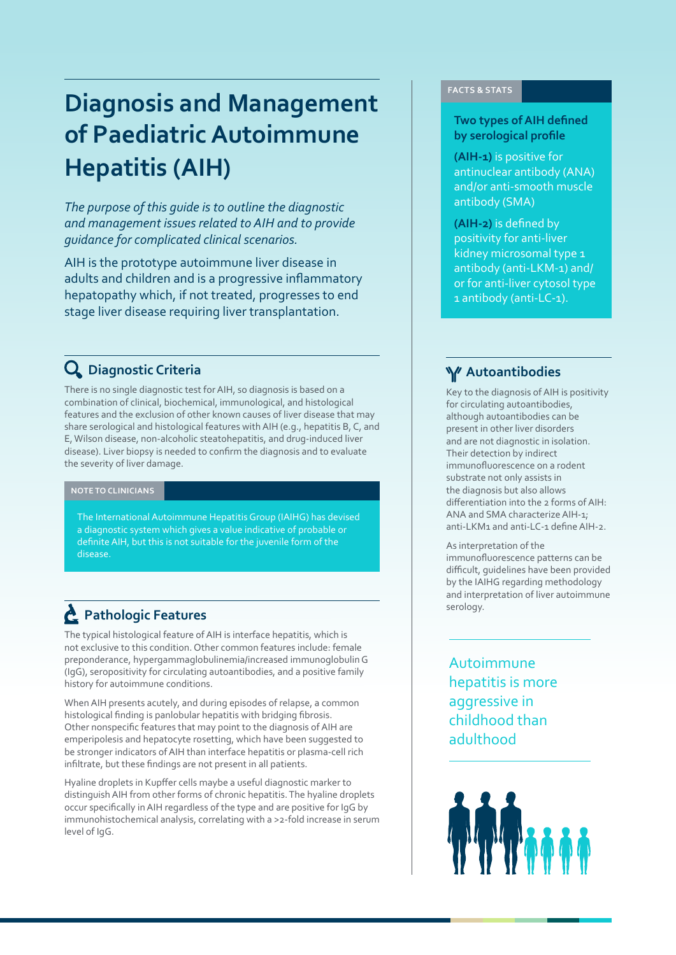# **Diagnosis and Management of Paediatric Autoimmune Hepatitis (AIH)**

*The purpose of this guide is to outline the diagnostic and management issues related to AIH and to provide guidance for complicated clinical scenarios.* 

AIH is the prototype autoimmune liver disease in adults and children and is a progressive inflammatory hepatopathy which, if not treated, progresses to end stage liver disease requiring liver transplantation.

## **Diagnostic Criteria**

There is no single diagnostic test for AIH, so diagnosis is based on a combination of clinical, biochemical, immunological, and histological features and the exclusion of other known causes of liver disease that may share serological and histological features with AIH (e.g., hepatitis B, C, and E, Wilson disease, non-alcoholic steatohepatitis, and drug-induced liver disease). Liver biopsy is needed to confirm the diagnosis and to evaluate the severity of liver damage.

### **NOTE TO CLINICIANS**

The International Autoimmune Hepatitis Group (IAIHG) has devised a diagnostic system which gives a value indicative of probable or definite AIH, but this is not suitable for the juvenile form of the disease.

## **Pathologic Features**

The typical histological feature of AIH is interface hepatitis, which is not exclusive to this condition. Other common features include: female preponderance, hypergammaglobulinemia/increased immunoglobulin G (IgG), seropositivity for circulating autoantibodies, and a positive family history for autoimmune conditions.

When AIH presents acutely, and during episodes of relapse, a common histological finding is panlobular hepatitis with bridging fibrosis. Other nonspecific features that may point to the diagnosis of AIH are emperipolesis and hepatocyte rosetting, which have been suggested to be stronger indicators of AIH than interface hepatitis or plasma-cell rich infiltrate, but these findings are not present in all patients.

Hyaline droplets in Kupffer cells maybe a useful diagnostic marker to distinguish AIH from other forms of chronic hepatitis. The hyaline droplets occur specifically in AIH regardless of the type and are positive for IgG by immunohistochemical analysis, correlating with a >2-fold increase in serum level of IgG.

### **FACTS & STATS**

### **Two types of AIH defined by serological profile**

**(AIH-1)** is positive for antinuclear antibody (ANA) and/or anti-smooth muscle antibody (SMA)

**(AIH-2)** is defined by positivity for anti-liver kidney microsomal type 1 antibody (anti-LKM-1) and/ or for anti-liver cytosol type 1 antibody (anti-LC-1).

### **Autoantibodies**

Key to the diagnosis of AIH is positivity for circulating autoantibodies, although autoantibodies can be present in other liver disorders and are not diagnostic in isolation. Their detection by indirect immunofluorescence on a rodent substrate not only assists in the diagnosis but also allows differentiation into the 2 forms of AIH: ANA and SMA characterize AIH-1; anti-LKM1 and anti-LC-1 define AIH-2.

As interpretation of the immunofluorescence patterns can be difficult, guidelines have been provided by the IAIHG regarding methodology and interpretation of liver autoimmune serology.

Autoimmune hepatitis is more aggressive in childhood than adulthood

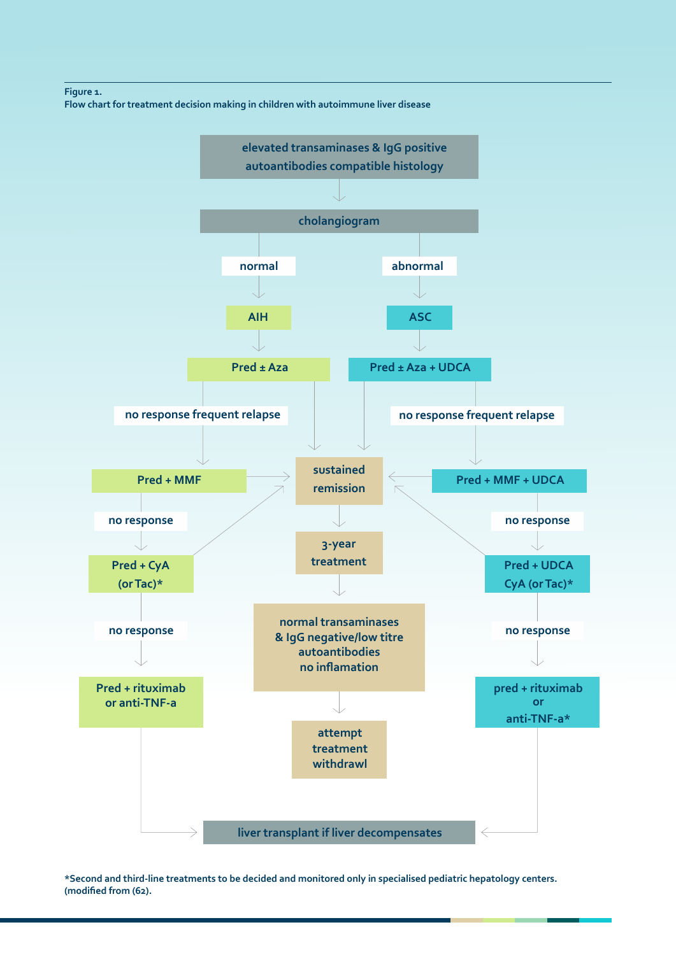### **Figure 1.**

**Flow chart for treatment decision making in children with autoimmune liver disease**



**\*Second and third-line treatments to be decided and monitored only in specialised pediatric hepatology centers. (modified from (62).**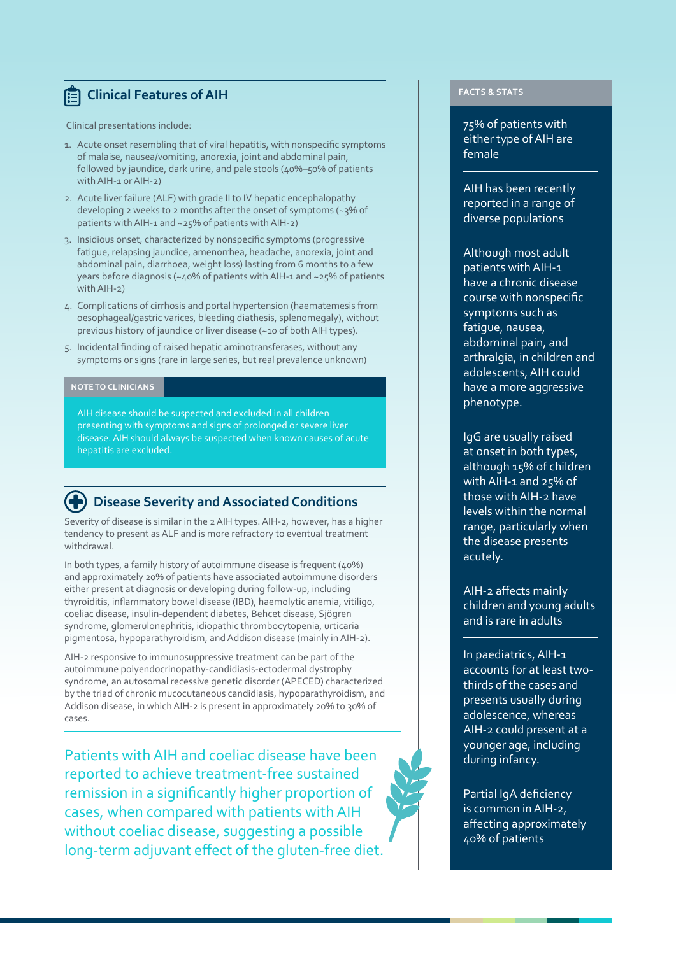## **E** Clinical Features of AIH

Clinical presentations include:

- 1. Acute onset resembling that of viral hepatitis, with nonspecific symptoms of malaise, nausea/vomiting, anorexia, joint and abdominal pain, followed by jaundice, dark urine, and pale stools (40%–50% of patients with AIH-1 or AIH-2)
- 2. Acute liver failure (ALF) with grade II to IV hepatic encephalopathy developing 2 weeks to 2 months after the onset of symptoms (~3% of patients with AIH-1 and ~25% of patients with AIH-2)
- 3. Insidious onset, characterized by nonspecific symptoms (progressive fatigue, relapsing jaundice, amenorrhea, headache, anorexia, joint and abdominal pain, diarrhoea, weight loss) lasting from 6 months to a few years before diagnosis (~40% of patients with AIH-1 and ~25% of patients with AIH-2)
- 4. Complications of cirrhosis and portal hypertension (haematemesis from oesophageal/gastric varices, bleeding diathesis, splenomegaly), without previous history of jaundice or liver disease (~10 of both AIH types).
- 5. Incidental finding of raised hepatic aminotransferases, without any symptoms or signs (rare in large series, but real prevalence unknown)

### **NOTE TO CLINICIANS**

AIH disease should be suspected and excluded in all children presenting with symptoms and signs of prolonged or severe liver disease. AIH should always be suspected when known causes of acute hepatitis are excluded.

### **Disease Severity and Associated Conditions**

Severity of disease is similar in the 2 AIH types. AIH-2, however, has a higher tendency to present as ALF and is more refractory to eventual treatment withdrawal.

In both types, a family history of autoimmune disease is frequent (40%) and approximately 20% of patients have associated autoimmune disorders either present at diagnosis or developing during follow-up, including thyroiditis, inflammatory bowel disease (IBD), haemolytic anemia, vitiligo, coeliac disease, insulin-dependent diabetes, Behcet disease, Sjögren syndrome, glomerulonephritis, idiopathic thrombocytopenia, urticaria pigmentosa, hypoparathyroidism, and Addison disease (mainly in AIH-2).

AIH-2 responsive to immunosuppressive treatment can be part of the autoimmune polyendocrinopathy-candidiasis-ectodermal dystrophy syndrome, an autosomal recessive genetic disorder (APECED) characterized by the triad of chronic mucocutaneous candidiasis, hypoparathyroidism, and Addison disease, in which AIH-2 is present in approximately 20% to 30% of cases.

Patients with AIH and coeliac disease have been reported to achieve treatment-free sustained remission in a significantly higher proportion of cases, when compared with patients with AIH without coeliac disease, suggesting a possible long-term adjuvant effect of the gluten-free diet.

## **FACTS & STATS**

75% of patients with either type of AIH are female

AIH has been recently reported in a range of diverse populations

Although most adult patients with AIH-1 have a chronic disease course with nonspecific symptoms such as fatigue, nausea, abdominal pain, and arthralgia, in children and adolescents, AIH could have a more aggressive phenotype.

IgG are usually raised at onset in both types, although 15% of children with AIH-1 and 25% of those with AIH-2 have levels within the normal range, particularly when the disease presents acutely.

AIH-2 affects mainly children and young adults and is rare in adults

In paediatrics, AIH-1 accounts for at least twothirds of the cases and presents usually during adolescence, whereas AIH-2 could present at a younger age, including during infancy.

Partial IgA deficiency is common in AIH-2, affecting approximately 40% of patients